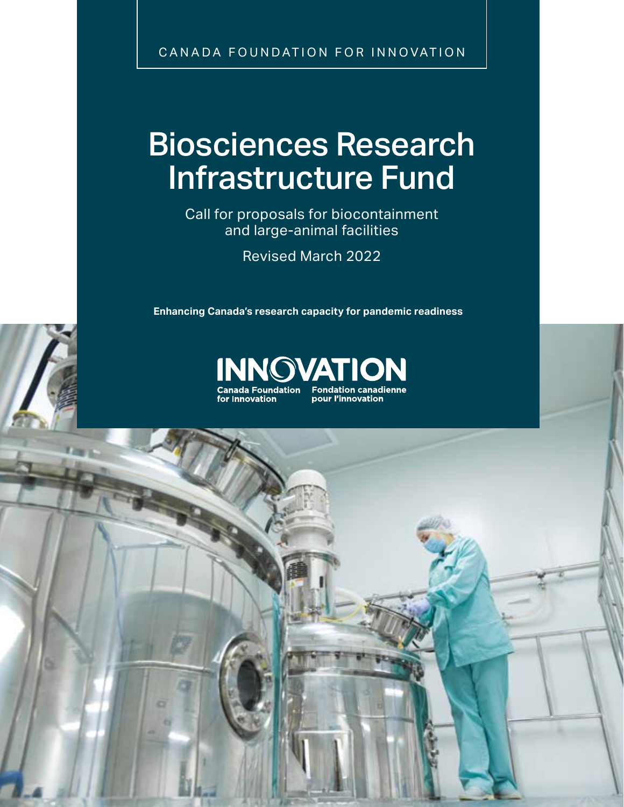CANADA FOUNDATION FOR INNOVATION

# Biosciences Research Infrastructure Fund

Call for proposals for biocontainment and large-animal facilities

Revised March 2022

**Enhancing Canada's research capacity for pandemic readiness**





ang sa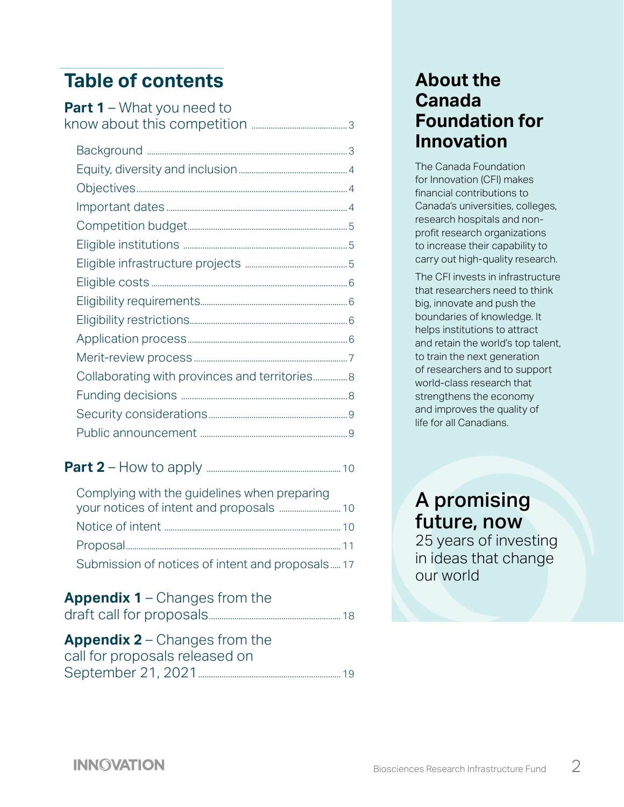## **Table of contents**

| <b>Part 1</b> – What you need to |
|----------------------------------|
|                                  |
|                                  |
|                                  |
|                                  |
|                                  |
|                                  |
|                                  |
|                                  |
|                                  |
|                                  |
|                                  |
|                                  |
|                                  |
|                                  |
|                                  |
|                                  |
|                                  |

#### **Part 2** – How to apply [...............................................................10](#page-9-0)

| Complying with the guidelines when preparing    |  |
|-------------------------------------------------|--|
|                                                 |  |
|                                                 |  |
|                                                 |  |
| Submission of notices of intent and proposals17 |  |

#### **Appendix 1** [– Changes from the](#page-17-0)

|--|--|

#### **Appendix 2** [– Changes from the](#page-18-0)  [call for proposals released on](#page-18-0)  [September 21, 2021](#page-18-0)...................................................................19

## **About the Canada Foundation for Innovation**

The Canada Foundation for Innovation (CFI) makes financial contributions to Canada's universities, colleges, research hospitals and nonprofit research organizations to increase their capability to carry out high-quality research.

The CFI invests in infrastructure that researchers need to think big, innovate and push the boundaries of knowledge. It helps institutions to attract and retain the world's top talent, to train the next generation of researchers and to support world-class research that strengthens the economy and improves the quality of life for all Canadians.

## A promising future, now

25 years of investing in ideas that change our world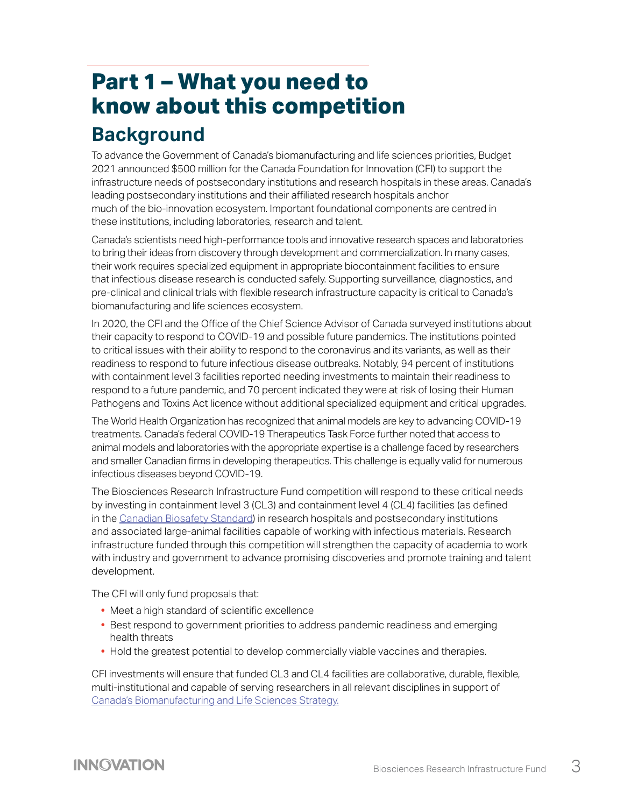# <span id="page-2-0"></span>**Part 1 – What you need to know about this competition**

## **Background**

To advance the Government of Canada's biomanufacturing and life sciences priorities, Budget 2021 announced \$500 million for the Canada Foundation for Innovation (CFI) to support the infrastructure needs of postsecondary institutions and research hospitals in these areas. Canada's leading postsecondary institutions and their affiliated research hospitals anchor much of the bio-innovation ecosystem. Important foundational components are centred in these institutions, including laboratories, research and talent.

Canada's scientists need high-performance tools and innovative research spaces and laboratories to bring their ideas from discovery through development and commercialization. In many cases, their work requires specialized equipment in appropriate biocontainment facilities to ensure that infectious disease research is conducted safely. Supporting surveillance, diagnostics, and pre-clinical and clinical trials with flexible research infrastructure capacity is critical to Canada's biomanufacturing and life sciences ecosystem.

In 2020, the CFI and the Office of the Chief Science Advisor of Canada surveyed institutions about their capacity to respond to COVID-19 and possible future pandemics. The institutions pointed to critical issues with their ability to respond to the coronavirus and its variants, as well as their readiness to respond to future infectious disease outbreaks. Notably, 94 percent of institutions with containment level 3 facilities reported needing investments to maintain their readiness to respond to a future pandemic, and 70 percent indicated they were at risk of losing their Human Pathogens and Toxins Act licence without additional specialized equipment and critical upgrades.

The World Health Organization has recognized that animal models are key to advancing COVID-19 treatments. Canada's federal COVID-19 Therapeutics Task Force further noted that access to animal models and laboratories with the appropriate expertise is a challenge faced by researchers and smaller Canadian firms in developing therapeutics. This challenge is equally valid for numerous infectious diseases beyond COVID-19.

The Biosciences Research Infrastructure Fund competition will respond to these critical needs by investing in containment level 3 (CL3) and containment level 4 (CL4) facilities (as defined in the [Canadian Biosafety Standard](https://www.canada.ca/en/public-health/services/canadian-biosafety-standards-guidelines/second-edition.html)) in research hospitals and postsecondary institutions and associated large-animal facilities capable of working with infectious materials. Research infrastructure funded through this competition will strengthen the capacity of academia to work with industry and government to advance promising discoveries and promote training and talent development.

The CFI will only fund proposals that:

- **•** Meet a high standard of scientific excellence
- **•** Best respond to government priorities to address pandemic readiness and emerging health threats
- **•** Hold the greatest potential to develop commercially viable vaccines and therapies.

CFI investments will ensure that funded CL3 and CL4 facilities are collaborative, durable, flexible, multi-institutional and capable of serving researchers in all relevant disciplines in support of [Canada's Biomanufacturing and Life Sciences Strategy.](https://www.ic.gc.ca/eic/site/151.nsf/eng/00018.html)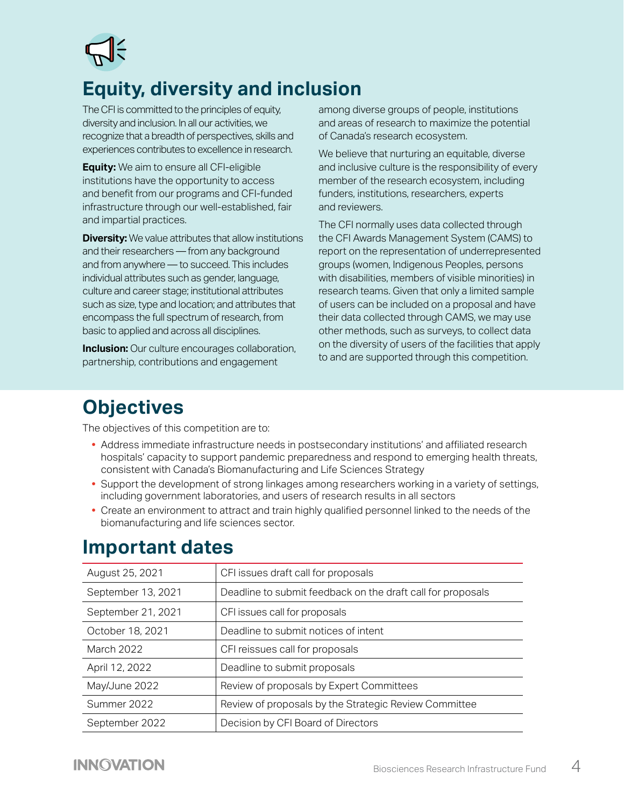<span id="page-3-0"></span>

## **Equity, diversity and inclusion**

The CFI is committed to the principles of equity, diversity and inclusion. In all our activities, we recognize that a breadth of perspectives, skills and experiences contributes to excellence in research.

**Equity:** We aim to ensure all CFI-eligible institutions have the opportunity to access and benefit from our programs and CFI-funded infrastructure through our well-established, fair and impartial practices.

**Diversity:** We value attributes that allow institutions and their researchers — from any background and from anywhere — to succeed. This includes individual attributes such as gender, language, culture and career stage; institutional attributes such as size, type and location; and attributes that encompass the full spectrum of research, from basic to applied and across all disciplines.

**Inclusion:** Our culture encourages collaboration, partnership, contributions and engagement

among diverse groups of people, institutions and areas of research to maximize the potential of Canada's research ecosystem.

We believe that nurturing an equitable, diverse and inclusive culture is the responsibility of every member of the research ecosystem, including funders, institutions, researchers, experts and reviewers.

The CFI normally uses data collected through the CFI Awards Management System (CAMS) to report on the representation of underrepresented groups (women, Indigenous Peoples, persons with disabilities, members of visible minorities) in research teams. Given that only a limited sample of users can be included on a proposal and have their data collected through CAMS, we may use other methods, such as surveys, to collect data on the diversity of users of the facilities that apply to and are supported through this competition.

## **Objectives**

The objectives of this competition are to:

- **•** Address immediate infrastructure needs in postsecondary institutions' and affiliated research hospitals' capacity to support pandemic preparedness and respond to emerging health threats, consistent with Canada's Biomanufacturing and Life Sciences Strategy
- **•** Support the development of strong linkages among researchers working in a variety of settings, including government laboratories, and users of research results in all sectors
- **•** Create an environment to attract and train highly qualified personnel linked to the needs of the biomanufacturing and life sciences sector.

| August 25, 2021    | CFI issues draft call for proposals                         |  |
|--------------------|-------------------------------------------------------------|--|
| September 13, 2021 | Deadline to submit feedback on the draft call for proposals |  |
| September 21, 2021 | CFI issues call for proposals                               |  |
| October 18, 2021   | Deadline to submit notices of intent                        |  |
| <b>March 2022</b>  | CFI reissues call for proposals                             |  |
| April 12, 2022     | Deadline to submit proposals                                |  |
| May/June 2022      | Review of proposals by Expert Committees                    |  |
| Summer 2022        | Review of proposals by the Strategic Review Committee       |  |
| September 2022     | Decision by CFI Board of Directors                          |  |

## **Important dates**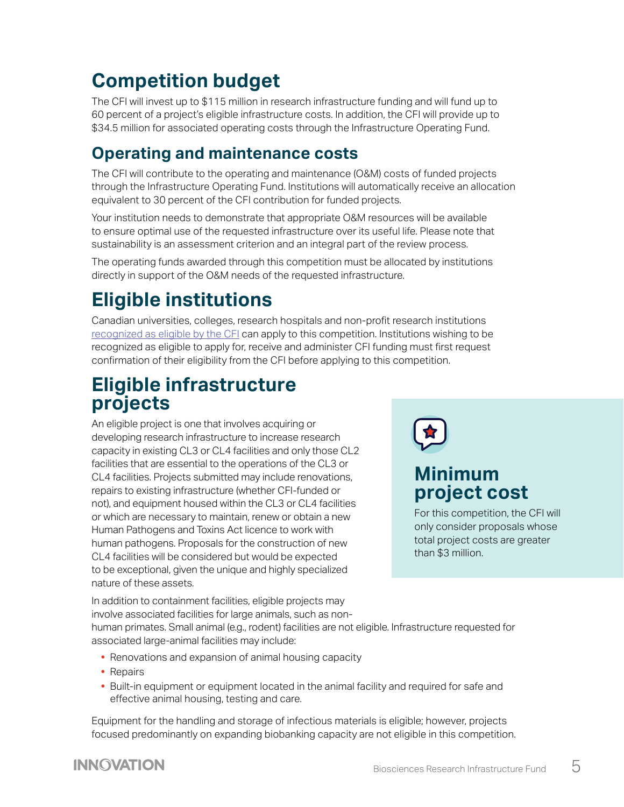# <span id="page-4-0"></span>**Competition budget**

The CFI will invest up to \$115 million in research infrastructure funding and will fund up to 60 percent of a project's eligible infrastructure costs. In addition, the CFI will provide up to \$34.5 million for associated operating costs through the Infrastructure Operating Fund.

### **Operating and maintenance costs**

The CFI will contribute to the operating and maintenance (O&M) costs of funded projects through the Infrastructure Operating Fund. Institutions will automatically receive an allocation equivalent to 30 percent of the CFI contribution for funded projects.

Your institution needs to demonstrate that appropriate O&M resources will be available to ensure optimal use of the requested infrastructure over its useful life. Please note that sustainability is an assessment criterion and an integral part of the review process.

The operating funds awarded through this competition must be allocated by institutions directly in support of the O&M needs of the requested infrastructure.

# **Eligible institutions**

Canadian universities, colleges, research hospitals and non-profit research institutions [recognized as eligible by the CFI](https://www.innovation.ca/list-eligible-institutions) can apply to this competition. Institutions wishing to be recognized as eligible to apply for, receive and administer CFI funding must first request confirmation of their eligibility from the CFI before applying to this competition.

## **Eligible infrastructure projects**

An eligible project is one that involves acquiring or developing research infrastructure to increase research capacity in existing CL3 or CL4 facilities and only those CL2 facilities that are essential to the operations of the CL3 or CL4 facilities. Projects submitted may include renovations, repairs to existing infrastructure (whether CFI-funded or not), and equipment housed within the CL3 or CL4 facilities or which are necessary to maintain, renew or obtain a new Human Pathogens and Toxins Act licence to work with human pathogens. Proposals for the construction of new CL4 facilities will be considered but would be expected to be exceptional, given the unique and highly specialized nature of these assets.



## **Minimum project cost**

For this competition, the CFI will only consider proposals whose total project costs are greater than \$3 million.

In addition to containment facilities, eligible projects may involve associated facilities for large animals, such as non-

human primates. Small animal (e.g., rodent) facilities are not eligible. Infrastructure requested for associated large-animal facilities may include:

- **•** Renovations and expansion of animal housing capacity
- **•** Repairs
- **•** Built-in equipment or equipment located in the animal facility and required for safe and effective animal housing, testing and care.

Equipment for the handling and storage of infectious materials is eligible; however, projects focused predominantly on expanding biobanking capacity are not eligible in this competition.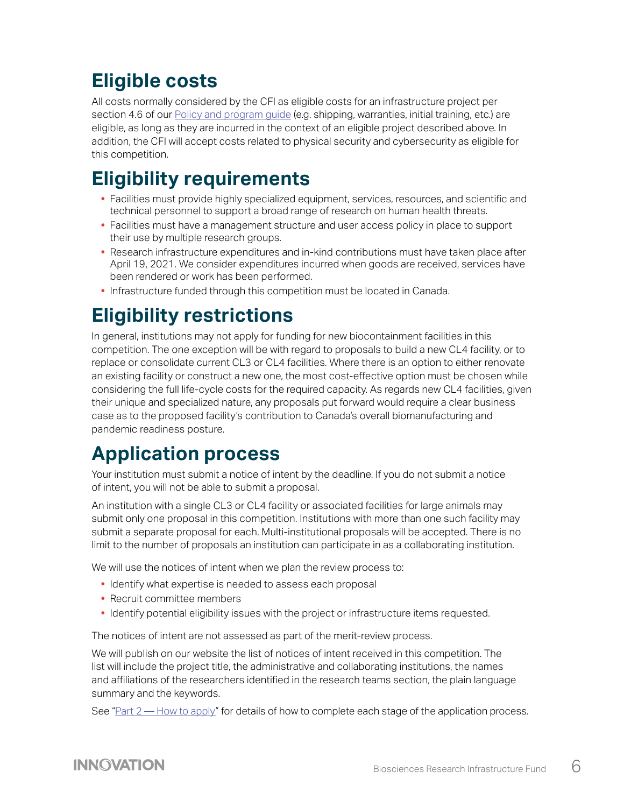## <span id="page-5-0"></span>**Eligible costs**

All costs normally considered by the CFI as eligible costs for an infrastructure project per section 4.6 of our [Policy and program guide](https://www.innovation.ca/awards/policy-and-program-guide-and-supplemental-information) (e.g. shipping, warranties, initial training, etc.) are eligible, as long as they are incurred in the context of an eligible project described above. In addition, the CFI will accept costs related to physical security and cybersecurity as eligible for this competition.

## **Eligibility requirements**

- **•** Facilities must provide highly specialized equipment, services, resources, and scientific and technical personnel to support a broad range of research on human health threats.
- **•** Facilities must have a management structure and user access policy in place to support their use by multiple research groups.
- **•** Research infrastructure expenditures and in-kind contributions must have taken place after April 19, 2021. We consider expenditures incurred when goods are received, services have been rendered or work has been performed.
- **•** Infrastructure funded through this competition must be located in Canada.

# **Eligibility restrictions**

In general, institutions may not apply for funding for new biocontainment facilities in this competition. The one exception will be with regard to proposals to build a new CL4 facility, or to replace or consolidate current CL3 or CL4 facilities. Where there is an option to either renovate an existing facility or construct a new one, the most cost-effective option must be chosen while considering the full life-cycle costs for the required capacity. As regards new CL4 facilities, given their unique and specialized nature, any proposals put forward would require a clear business case as to the proposed facility's contribution to Canada's overall biomanufacturing and pandemic readiness posture.

## **Application process**

Your institution must submit a notice of intent by the deadline. If you do not submit a notice of intent, you will not be able to submit a proposal.

An institution with a single CL3 or CL4 facility or associated facilities for large animals may submit only one proposal in this competition. Institutions with more than one such facility may submit a separate proposal for each. Multi-institutional proposals will be accepted. There is no limit to the number of proposals an institution can participate in as a collaborating institution.

We will use the notices of intent when we plan the review process to:

- **•** Identify what expertise is needed to assess each proposal
- **•** Recruit committee members
- Identify potential eligibility issues with the project or infrastructure items requested.

The notices of intent are not assessed as part of the merit-review process.

We will publish on our website the list of notices of intent received in this competition. The list will include the project title, the administrative and collaborating institutions, the names and affiliations of the researchers identified in the research teams section, the plain language summary and the keywords.

See "[Part 2 — How to apply"](#page-9-1) for details of how to complete each stage of the application process.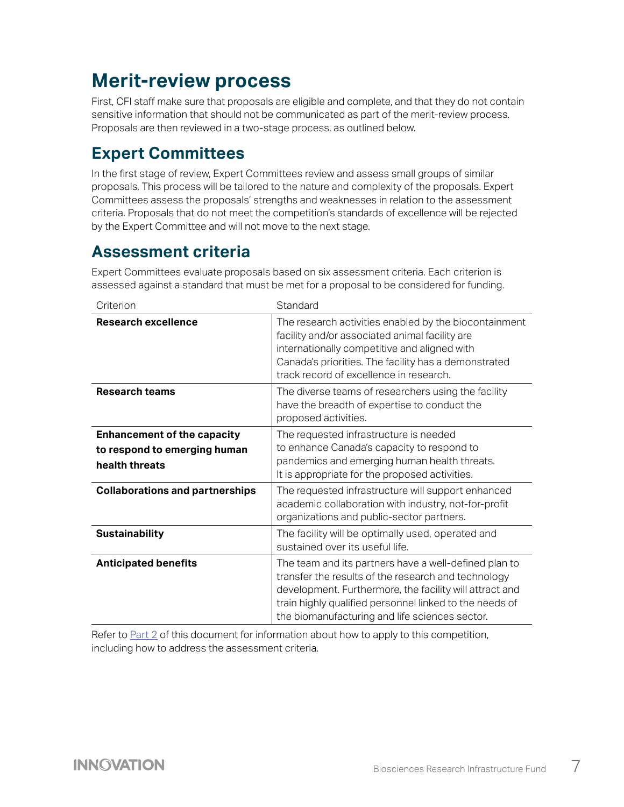## <span id="page-6-0"></span>**Merit-review process**

First, CFI staff make sure that proposals are eligible and complete, and that they do not contain sensitive information that should not be communicated as part of the merit-review process. Proposals are then reviewed in a two-stage process, as outlined below.

### **Expert Committees**

In the first stage of review, Expert Committees review and assess small groups of similar proposals. This process will be tailored to the nature and complexity of the proposals. Expert Committees assess the proposals' strengths and weaknesses in relation to the assessment criteria. Proposals that do not meet the competition's standards of excellence will be rejected by the Expert Committee and will not move to the next stage.

### **Assessment criteria**

Expert Committees evaluate proposals based on six assessment criteria. Each criterion is assessed against a standard that must be met for a proposal to be considered for funding.

| Criterion                                                                            | Standard                                                                                                                                                                                                                                                                             |
|--------------------------------------------------------------------------------------|--------------------------------------------------------------------------------------------------------------------------------------------------------------------------------------------------------------------------------------------------------------------------------------|
| Research excellence                                                                  | The research activities enabled by the biocontainment<br>facility and/or associated animal facility are<br>internationally competitive and aligned with<br>Canada's priorities. The facility has a demonstrated<br>track record of excellence in research.                           |
| <b>Research teams</b>                                                                | The diverse teams of researchers using the facility<br>have the breadth of expertise to conduct the<br>proposed activities.                                                                                                                                                          |
| <b>Enhancement of the capacity</b><br>to respond to emerging human<br>health threats | The requested infrastructure is needed<br>to enhance Canada's capacity to respond to<br>pandemics and emerging human health threats.<br>It is appropriate for the proposed activities.                                                                                               |
| <b>Collaborations and partnerships</b>                                               | The requested infrastructure will support enhanced<br>academic collaboration with industry, not-for-profit<br>organizations and public-sector partners.                                                                                                                              |
| <b>Sustainability</b>                                                                | The facility will be optimally used, operated and<br>sustained over its useful life.                                                                                                                                                                                                 |
| <b>Anticipated benefits</b>                                                          | The team and its partners have a well-defined plan to<br>transfer the results of the research and technology<br>development. Furthermore, the facility will attract and<br>train highly qualified personnel linked to the needs of<br>the biomanufacturing and life sciences sector. |

Refer to [Part 2](#page-9-1) of this document for information about how to apply to this competition, including how to address the assessment criteria.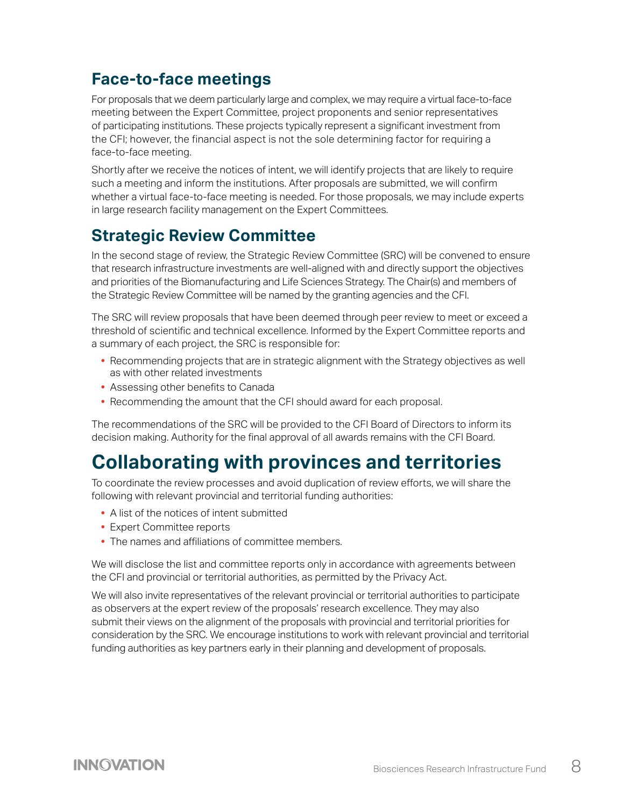## <span id="page-7-0"></span>**Face-to-face meetings**

For proposals that we deem particularly large and complex, we may require a virtual face-to-face meeting between the Expert Committee, project proponents and senior representatives of participating institutions. These projects typically represent a significant investment from the CFI; however, the financial aspect is not the sole determining factor for requiring a face-to-face meeting.

Shortly after we receive the notices of intent, we will identify projects that are likely to require such a meeting and inform the institutions. After proposals are submitted, we will confirm whether a virtual face-to-face meeting is needed. For those proposals, we may include experts in large research facility management on the Expert Committees.

### **Strategic Review Committee**

In the second stage of review, the Strategic Review Committee (SRC) will be convened to ensure that research infrastructure investments are well-aligned with and directly support the objectives and priorities of the Biomanufacturing and Life Sciences Strategy. The Chair(s) and members of the Strategic Review Committee will be named by the granting agencies and the CFI.

The SRC will review proposals that have been deemed through peer review to meet or exceed a threshold of scientific and technical excellence. Informed by the Expert Committee reports and a summary of each project, the SRC is responsible for:

- **•** Recommending projects that are in strategic alignment with the Strategy objectives as well as with other related investments
- **•** Assessing other benefits to Canada
- **•** Recommending the amount that the CFI should award for each proposal.

The recommendations of the SRC will be provided to the CFI Board of Directors to inform its decision making. Authority for the final approval of all awards remains with the CFI Board.

## **Collaborating with provinces and territories**

To coordinate the review processes and avoid duplication of review efforts, we will share the following with relevant provincial and territorial funding authorities:

- **•** A list of the notices of intent submitted
- **•** Expert Committee reports
- **•** The names and affiliations of committee members.

We will disclose the list and committee reports only in accordance with agreements between the CFI and provincial or territorial authorities, as permitted by the Privacy Act.

We will also invite representatives of the relevant provincial or territorial authorities to participate as observers at the expert review of the proposals' research excellence. They may also submit their views on the alignment of the proposals with provincial and territorial priorities for consideration by the SRC. We encourage institutions to work with relevant provincial and territorial funding authorities as key partners early in their planning and development of proposals.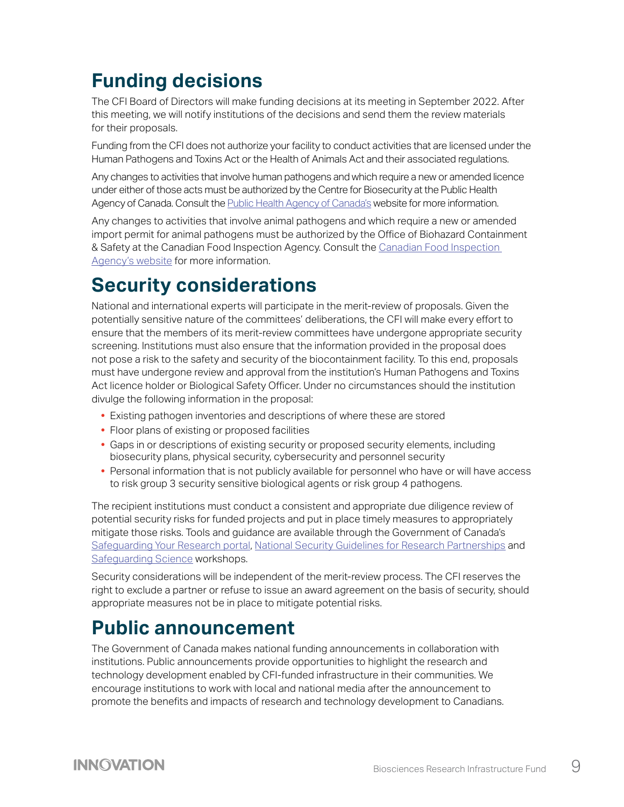# <span id="page-8-0"></span>**Funding decisions**

The CFI Board of Directors will make funding decisions at its meeting in September 2022. After this meeting, we will notify institutions of the decisions and send them the review materials for their proposals.

Funding from the CFI does not authorize your facility to conduct activities that are licensed under the Human Pathogens and Toxins Act or the Health of Animals Act and their associated regulations.

Any changes to activities that involve human pathogens and which require a new or amended licence under either of those acts must be authorized by the Centre for Biosecurity at the Public Health Agency of Canada. Consult the [Public Health Agency of Canada'](https://www.canada.ca/en/public-health/services/laboratory-biosafety-biosecurity/licensing-program.html)s website for more information.

Any changes to activities that involve animal pathogens and which require a new or amended import permit for animal pathogens must be authorized by the Office of Biohazard Containment & Safety at the Canadian Food Inspection Agency. Consult the [Canadian Food Inspection](https://inspection.canada.ca/animal-health/biohazard-containment-and-safety/eng/1300121579431/1315776600051)  [Agency's website](https://inspection.canada.ca/animal-health/biohazard-containment-and-safety/eng/1300121579431/1315776600051) for more information.

## **Security considerations**

National and international experts will participate in the merit-review of proposals. Given the potentially sensitive nature of the committees' deliberations, the CFI will make every effort to ensure that the members of its merit-review committees have undergone appropriate security screening. Institutions must also ensure that the information provided in the proposal does not pose a risk to the safety and security of the biocontainment facility. To this end, proposals must have undergone review and approval from the institution's Human Pathogens and Toxins Act licence holder or Biological Safety Officer. Under no circumstances should the institution divulge the following information in the proposal:

- **•** Existing pathogen inventories and descriptions of where these are stored
- **•** Floor plans of existing or proposed facilities
- **•** Gaps in or descriptions of existing security or proposed security elements, including biosecurity plans, physical security, cybersecurity and personnel security
- **•** Personal information that is not publicly available for personnel who have or will have access to risk group 3 security sensitive biological agents or risk group 4 pathogens.

The recipient institutions must conduct a consistent and appropriate due diligence review of potential security risks for funded projects and put in place timely measures to appropriately mitigate those risks. Tools and guidance are available through the Government of Canada's [Safeguarding Your Research portal](https://www.ic.gc.ca/eic/site/063.nsf/eng/h_97955.html), [National Security Guidelines for Research Partnerships](https://science.gc.ca/eic/site/063.nsf/eng/h_98257.html) and [Safeguarding Science](https://www.publicsafety.gc.ca/cnt/ntnl-scrt/cntr-trrrsm/cntr-prlfrtn/sfgrdng-scnc/index-en.aspx) workshops.

Security considerations will be independent of the merit-review process. The CFI reserves the right to exclude a partner or refuse to issue an award agreement on the basis of security, should appropriate measures not be in place to mitigate potential risks.

## **Public announcement**

The Government of Canada makes national funding announcements in collaboration with institutions. Public announcements provide opportunities to highlight the research and technology development enabled by CFI-funded infrastructure in their communities. We encourage institutions to work with local and national media after the announcement to promote the benefits and impacts of research and technology development to Canadians.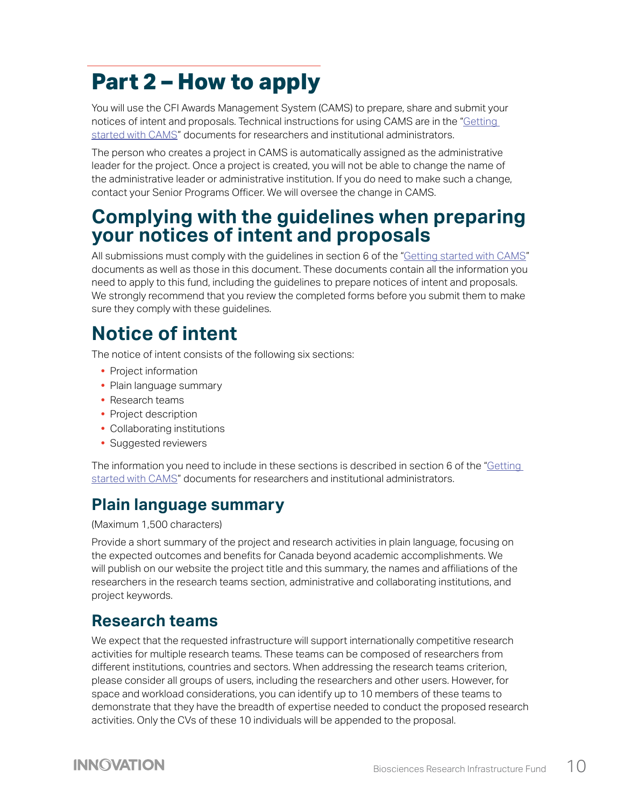# <span id="page-9-1"></span><span id="page-9-0"></span>**Part 2 – How to apply**

You will use the CFI Awards Management System (CAMS) to prepare, share and submit your notices of intent and proposals. Technical instructions for using CAMS are in the "[Getting](https://www.innovation.ca/awards/cams)  [started with CAMS](https://www.innovation.ca/awards/cams)" documents for researchers and institutional administrators.

The person who creates a project in CAMS is automatically assigned as the administrative leader for the project. Once a project is created, you will not be able to change the name of the administrative leader or administrative institution. If you do need to make such a change, contact your Senior Programs Officer. We will oversee the change in CAMS.

## **Complying with the guidelines when preparing your notices of intent and proposals**

All submissions must comply with the guidelines in section 6 of the "[Getting started with CAMS](https://www.innovation.ca/awards/cams)" documents as well as those in this document. These documents contain all the information you need to apply to this fund, including the guidelines to prepare notices of intent and proposals. We strongly recommend that you review the completed forms before you submit them to make sure they comply with these guidelines.

# **Notice of intent**

The notice of intent consists of the following six sections:

- **•** Project information
- **•** Plain language summary
- **•** Research teams
- **•** Project description
- **•** Collaborating institutions
- **•** Suggested reviewers

The information you need to include in these sections is described in section 6 of the "Getting [started with CAMS](https://www.innovation.ca/awards/cams)" documents for researchers and institutional administrators.

## **Plain language summary**

#### (Maximum 1,500 characters)

Provide a short summary of the project and research activities in plain language, focusing on the expected outcomes and benefits for Canada beyond academic accomplishments. We will publish on our website the project title and this summary, the names and affiliations of the researchers in the research teams section, administrative and collaborating institutions, and project keywords.

### **Research teams**

We expect that the requested infrastructure will support internationally competitive research activities for multiple research teams. These teams can be composed of researchers from different institutions, countries and sectors. When addressing the research teams criterion, please consider all groups of users, including the researchers and other users. However, for space and workload considerations, you can identify up to 10 members of these teams to demonstrate that they have the breadth of expertise needed to conduct the proposed research activities. Only the CVs of these 10 individuals will be appended to the proposal.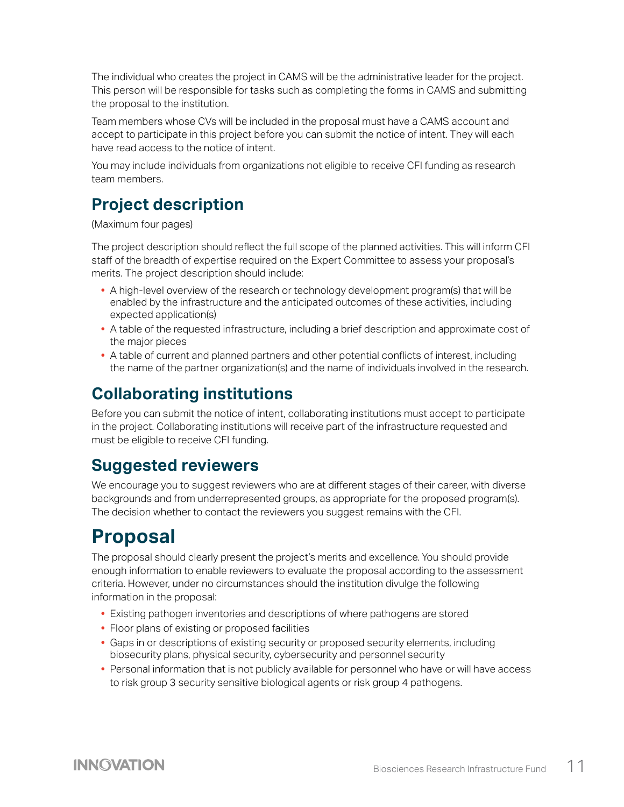<span id="page-10-0"></span>The individual who creates the project in CAMS will be the administrative leader for the project. This person will be responsible for tasks such as completing the forms in CAMS and submitting the proposal to the institution.

Team members whose CVs will be included in the proposal must have a CAMS account and accept to participate in this project before you can submit the notice of intent. They will each have read access to the notice of intent.

You may include individuals from organizations not eligible to receive CFI funding as research team members.

## **Project description**

(Maximum four pages)

The project description should reflect the full scope of the planned activities. This will inform CFI staff of the breadth of expertise required on the Expert Committee to assess your proposal's merits. The project description should include:

- **•** A high-level overview of the research or technology development program(s) that will be enabled by the infrastructure and the anticipated outcomes of these activities, including expected application(s)
- **•** A table of the requested infrastructure, including a brief description and approximate cost of the major pieces
- **•** A table of current and planned partners and other potential conflicts of interest, including the name of the partner organization(s) and the name of individuals involved in the research.

## **Collaborating institutions**

Before you can submit the notice of intent, collaborating institutions must accept to participate in the project. Collaborating institutions will receive part of the infrastructure requested and must be eligible to receive CFI funding.

## **Suggested reviewers**

We encourage you to suggest reviewers who are at different stages of their career, with diverse backgrounds and from underrepresented groups, as appropriate for the proposed program(s). The decision whether to contact the reviewers you suggest remains with the CFI.

## **Proposal**

The proposal should clearly present the project's merits and excellence. You should provide enough information to enable reviewers to evaluate the proposal according to the assessment criteria. However, under no circumstances should the institution divulge the following information in the proposal:

- **•** Existing pathogen inventories and descriptions of where pathogens are stored
- **•** Floor plans of existing or proposed facilities
- **•** Gaps in or descriptions of existing security or proposed security elements, including biosecurity plans, physical security, cybersecurity and personnel security
- **•** Personal information that is not publicly available for personnel who have or will have access to risk group 3 security sensitive biological agents or risk group 4 pathogens.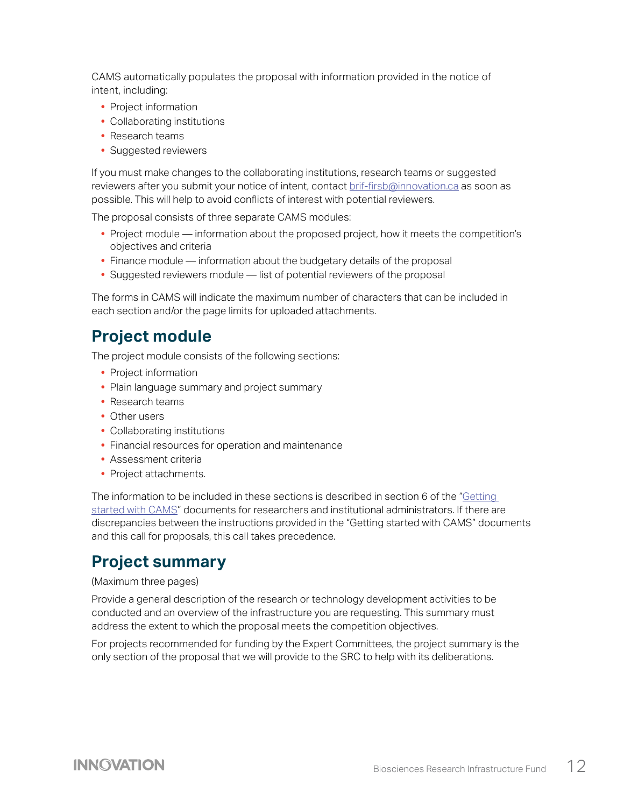CAMS automatically populates the proposal with information provided in the notice of intent, including:

- **•** Project information
- **•** Collaborating institutions
- **•** Research teams
- **•** Suggested reviewers

If you must make changes to the collaborating institutions, research teams or suggested reviewers after you submit your notice of intent, contact [brif-firsb@innovation.ca](mailto:brif-firsb%40innovation.ca?subject=) as soon as possible. This will help to avoid conflicts of interest with potential reviewers.

The proposal consists of three separate CAMS modules:

- **•** Project module information about the proposed project, how it meets the competition's objectives and criteria
- **•** Finance module information about the budgetary details of the proposal
- **•** Suggested reviewers module list of potential reviewers of the proposal

The forms in CAMS will indicate the maximum number of characters that can be included in each section and/or the page limits for uploaded attachments.

#### **Project module**

The project module consists of the following sections:

- **•** Project information
- **•** Plain language summary and project summary
- **•** Research teams
- **•** Other users
- **•** Collaborating institutions
- **•** Financial resources for operation and maintenance
- **•** Assessment criteria
- **•** Project attachments.

The information to be included in these sections is described in section 6 of the "[Getting](https://www.innovation.ca/awards/cams)  [started with CAMS](https://www.innovation.ca/awards/cams)" documents for researchers and institutional administrators. If there are discrepancies between the instructions provided in the "Getting started with CAMS" documents and this call for proposals, this call takes precedence.

#### **Project summary**

#### (Maximum three pages)

Provide a general description of the research or technology development activities to be conducted and an overview of the infrastructure you are requesting. This summary must address the extent to which the proposal meets the competition objectives.

For projects recommended for funding by the Expert Committees, the project summary is the only section of the proposal that we will provide to the SRC to help with its deliberations.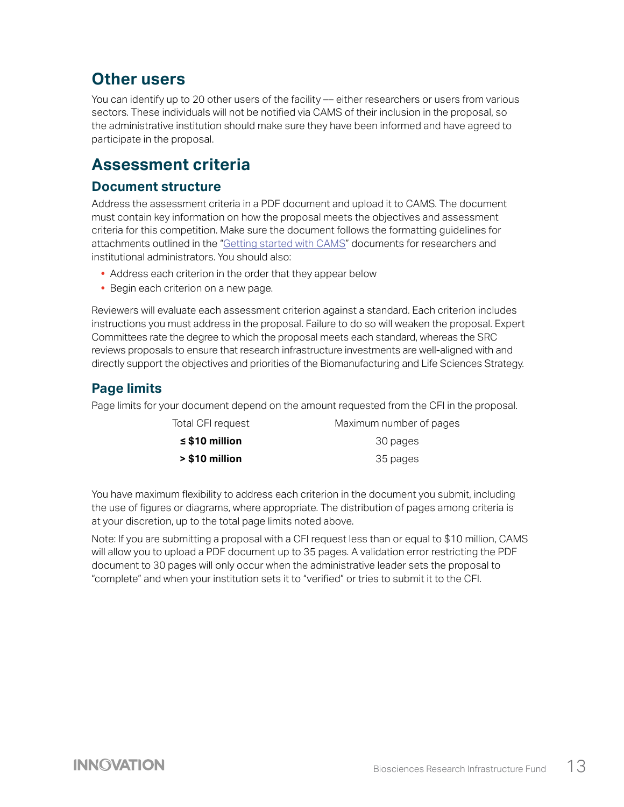## **Other users**

You can identify up to 20 other users of the facility –– either researchers or users from various sectors. These individuals will not be notified via CAMS of their inclusion in the proposal, so the administrative institution should make sure they have been informed and have agreed to participate in the proposal.

### **Assessment criteria**

#### **Document structure**

Address the assessment criteria in a PDF document and upload it to CAMS. The document must contain key information on how the proposal meets the objectives and assessment criteria for this competition. Make sure the document follows the formatting guidelines for attachments outlined in the "[Getting started with CAMS](https://www.innovation.ca/awards/cams)" documents for researchers and institutional administrators. You should also:

- **•** Address each criterion in the order that they appear below
- **•** Begin each criterion on a new page.

Reviewers will evaluate each assessment criterion against a standard. Each criterion includes instructions you must address in the proposal. Failure to do so will weaken the proposal. Expert Committees rate the degree to which the proposal meets each standard, whereas the SRC reviews proposals to ensure that research infrastructure investments are well-aligned with and directly support the objectives and priorities of the Biomanufacturing and Life Sciences Strategy.

#### **Page limits**

Page limits for your document depend on the amount requested from the CFI in the proposal.

| Total CFI request   | Maximum number of pages |
|---------------------|-------------------------|
| $\leq$ \$10 million | 30 pages                |
| > \$10 million      | 35 pages                |

You have maximum flexibility to address each criterion in the document you submit, including the use of figures or diagrams, where appropriate. The distribution of pages among criteria is at your discretion, up to the total page limits noted above.

Note: If you are submitting a proposal with a CFI request less than or equal to \$10 million, CAMS will allow you to upload a PDF document up to 35 pages. A validation error restricting the PDF document to 30 pages will only occur when the administrative leader sets the proposal to "complete" and when your institution sets it to "verified" or tries to submit it to the CFI.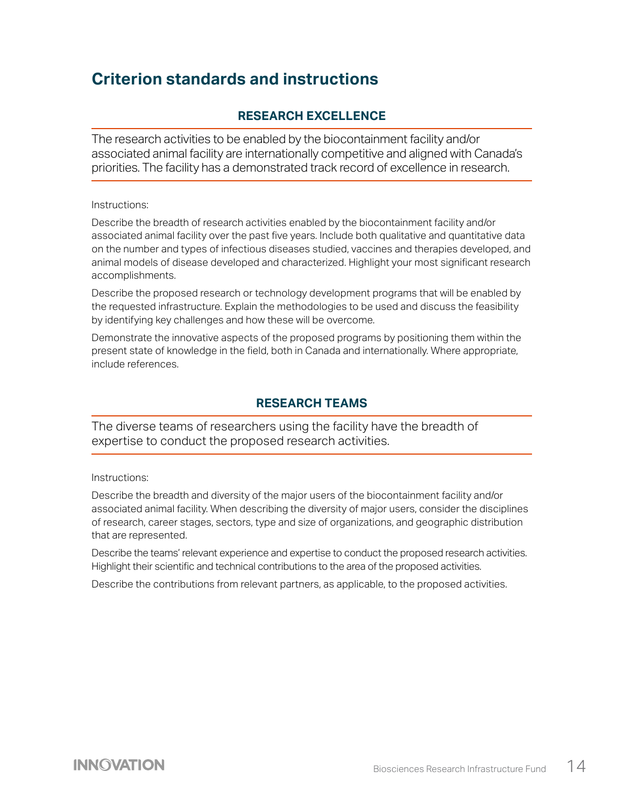### **Criterion standards and instructions**

#### **RESEARCH EXCELLENCE**

The research activities to be enabled by the biocontainment facility and/or associated animal facility are internationally competitive and aligned with Canada's priorities. The facility has a demonstrated track record of excellence in research.

Instructions:

Describe the breadth of research activities enabled by the biocontainment facility and/or associated animal facility over the past five years. Include both qualitative and quantitative data on the number and types of infectious diseases studied, vaccines and therapies developed, and animal models of disease developed and characterized. Highlight your most significant research accomplishments.

Describe the proposed research or technology development programs that will be enabled by the requested infrastructure. Explain the methodologies to be used and discuss the feasibility by identifying key challenges and how these will be overcome.

Demonstrate the innovative aspects of the proposed programs by positioning them within the present state of knowledge in the field, both in Canada and internationally. Where appropriate, include references.

#### **RESEARCH TEAMS**

The diverse teams of researchers using the facility have the breadth of expertise to conduct the proposed research activities.

Instructions:

Describe the breadth and diversity of the major users of the biocontainment facility and/or associated animal facility. When describing the diversity of major users, consider the disciplines of research, career stages, sectors, type and size of organizations, and geographic distribution that are represented.

Describe the teams' relevant experience and expertise to conduct the proposed research activities. Highlight their scientific and technical contributions to the area of the proposed activities.

Describe the contributions from relevant partners, as applicable, to the proposed activities.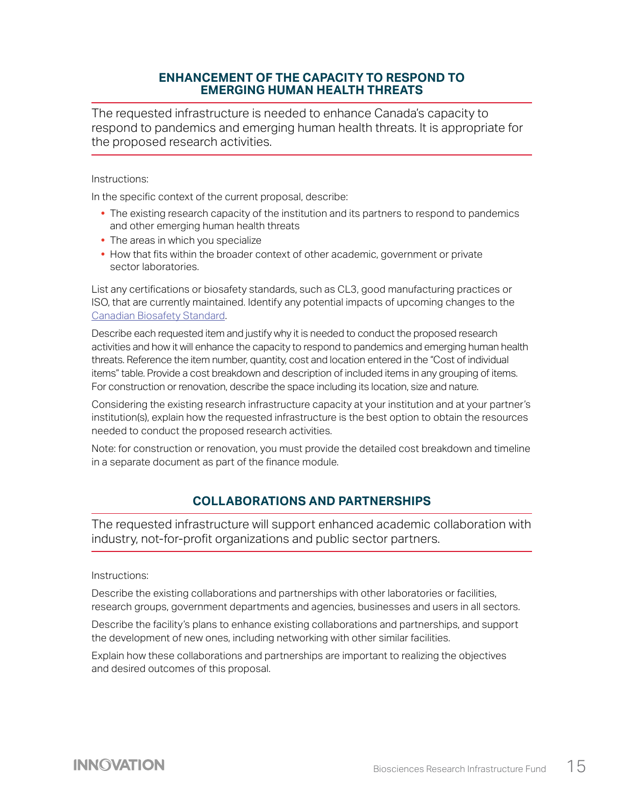#### **ENHANCEMENT OF THE CAPACITY TO RESPOND TO EMERGING HUMAN HEALTH THREATS**

The requested infrastructure is needed to enhance Canada's capacity to respond to pandemics and emerging human health threats. It is appropriate for the proposed research activities.

#### Instructions:

In the specific context of the current proposal, describe:

- The existing research capacity of the institution and its partners to respond to pandemics and other emerging human health threats
- **•** The areas in which you specialize
- **•** How that fits within the broader context of other academic, government or private sector laboratories.

List any certifications or biosafety standards, such as CL3, good manufacturing practices or ISO, that are currently maintained. Identify any potential impacts of upcoming changes to the [Canadian Biosafety Standard.](https://www.canada.ca/en/public-health/services/canadian-biosafety-standards-guidelines/third-edition-changes.html)

Describe each requested item and justify why it is needed to conduct the proposed research activities and how it will enhance the capacity to respond to pandemics and emerging human health threats. Reference the item number, quantity, cost and location entered in the "Cost of individual items" table. Provide a cost breakdown and description of included items in any grouping of items. For construction or renovation, describe the space including its location, size and nature.

Considering the existing research infrastructure capacity at your institution and at your partner's institution(s), explain how the requested infrastructure is the best option to obtain the resources needed to conduct the proposed research activities.

Note: for construction or renovation, you must provide the detailed cost breakdown and timeline in a separate document as part of the finance module.

#### **COLLABORATIONS AND PARTNERSHIPS**

The requested infrastructure will support enhanced academic collaboration with industry, not-for-profit organizations and public sector partners.

#### Instructions:

Describe the existing collaborations and partnerships with other laboratories or facilities, research groups, government departments and agencies, businesses and users in all sectors.

Describe the facility's plans to enhance existing collaborations and partnerships, and support the development of new ones, including networking with other similar facilities.

Explain how these collaborations and partnerships are important to realizing the objectives and desired outcomes of this proposal.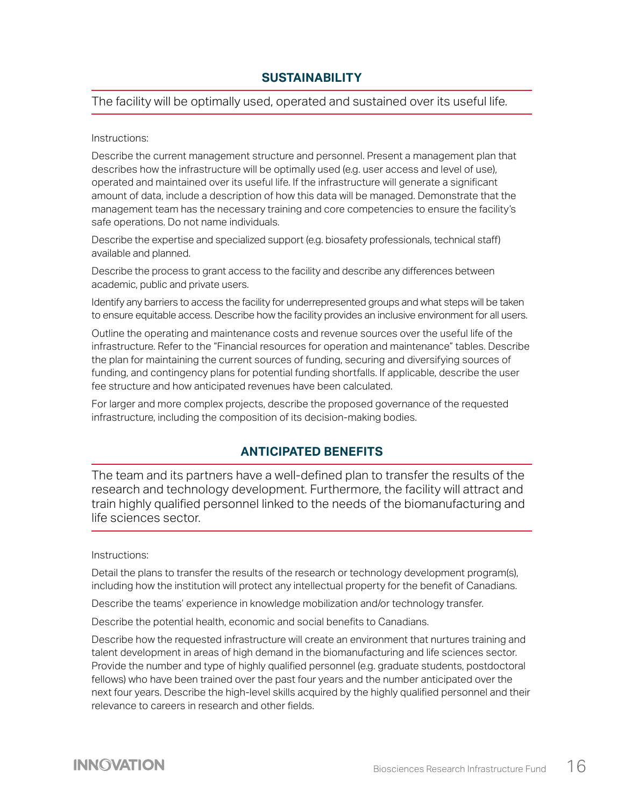#### **SUSTAINABILITY**

The facility will be optimally used, operated and sustained over its useful life.

#### Instructions:

Describe the current management structure and personnel. Present a management plan that describes how the infrastructure will be optimally used (e.g. user access and level of use), operated and maintained over its useful life. If the infrastructure will generate a significant amount of data, include a description of how this data will be managed. Demonstrate that the management team has the necessary training and core competencies to ensure the facility's safe operations. Do not name individuals.

Describe the expertise and specialized support (e.g. biosafety professionals, technical staff) available and planned.

Describe the process to grant access to the facility and describe any differences between academic, public and private users.

Identify any barriers to access the facility for underrepresented groups and what steps will be taken to ensure equitable access. Describe how the facility provides an inclusive environment for all users.

Outline the operating and maintenance costs and revenue sources over the useful life of the infrastructure. Refer to the "Financial resources for operation and maintenance" tables. Describe the plan for maintaining the current sources of funding, securing and diversifying sources of funding, and contingency plans for potential funding shortfalls. If applicable, describe the user fee structure and how anticipated revenues have been calculated.

For larger and more complex projects, describe the proposed governance of the requested infrastructure, including the composition of its decision-making bodies.

#### **ANTICIPATED BENEFITS**

The team and its partners have a well-defined plan to transfer the results of the research and technology development. Furthermore, the facility will attract and train highly qualified personnel linked to the needs of the biomanufacturing and life sciences sector.

#### Instructions:

Detail the plans to transfer the results of the research or technology development program(s), including how the institution will protect any intellectual property for the benefit of Canadians.

Describe the teams' experience in knowledge mobilization and/or technology transfer.

Describe the potential health, economic and social benefits to Canadians.

Describe how the requested infrastructure will create an environment that nurtures training and talent development in areas of high demand in the biomanufacturing and life sciences sector. Provide the number and type of highly qualified personnel (e.g. graduate students, postdoctoral fellows) who have been trained over the past four years and the number anticipated over the next four years. Describe the high-level skills acquired by the highly qualified personnel and their relevance to careers in research and other fields.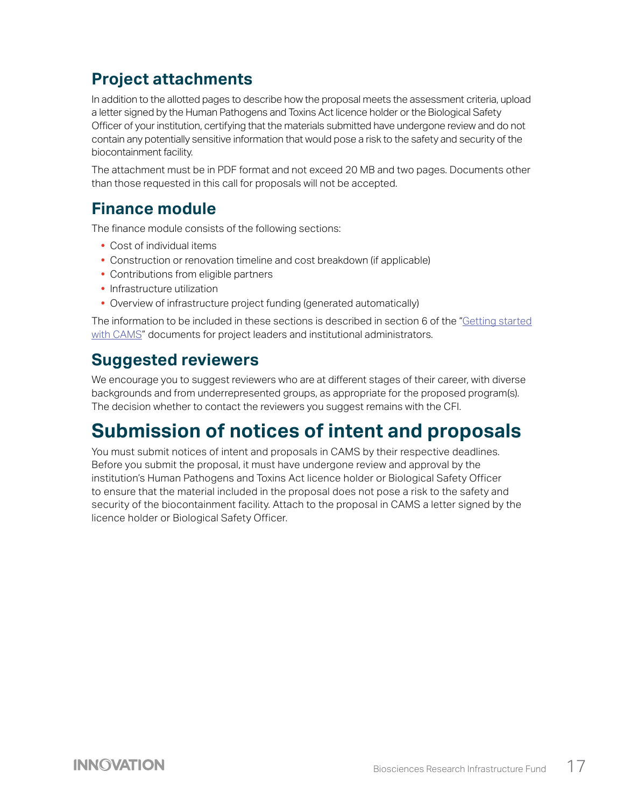## <span id="page-16-0"></span>**Project attachments**

In addition to the allotted pages to describe how the proposal meets the assessment criteria, upload a letter signed by the Human Pathogens and Toxins Act licence holder or the Biological Safety Officer of your institution, certifying that the materials submitted have undergone review and do not contain any potentially sensitive information that would pose a risk to the safety and security of the biocontainment facility.

The attachment must be in PDF format and not exceed 20 MB and two pages. Documents other than those requested in this call for proposals will not be accepted.

### **Finance module**

The finance module consists of the following sections:

- **•** Cost of individual items
- **•** Construction or renovation timeline and cost breakdown (if applicable)
- **•** Contributions from eligible partners
- **•** Infrastructure utilization
- **•** Overview of infrastructure project funding (generated automatically)

The information to be included in these sections is described in section 6 of the "[Getting started](https://www.innovation.ca/awards/cams) [with CAMS](https://www.innovation.ca/awards/cams)" documents for project leaders and institutional administrators.

### **Suggested reviewers**

We encourage you to suggest reviewers who are at different stages of their career, with diverse backgrounds and from underrepresented groups, as appropriate for the proposed program(s). The decision whether to contact the reviewers you suggest remains with the CFI.

## **Submission of notices of intent and proposals**

You must submit notices of intent and proposals in CAMS by their respective deadlines. Before you submit the proposal, it must have undergone review and approval by the institution's Human Pathogens and Toxins Act licence holder or Biological Safety Officer to ensure that the material included in the proposal does not pose a risk to the safety and security of the biocontainment facility. Attach to the proposal in CAMS a letter signed by the licence holder or Biological Safety Officer.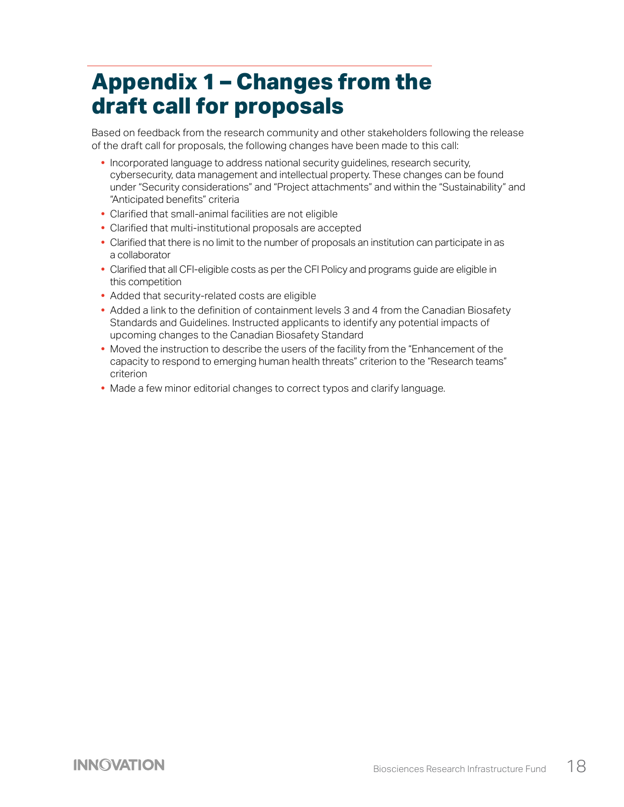# <span id="page-17-0"></span>**Appendix 1 – Changes from the draft call for proposals**

Based on feedback from the research community and other stakeholders following the release of the draft call for proposals, the following changes have been made to this call:

- **•** Incorporated language to address national security guidelines, research security, cybersecurity, data management and intellectual property. These changes can be found under "Security considerations" and "Project attachments" and within the "Sustainability" and "Anticipated benefits" criteria
- **•** Clarified that small-animal facilities are not eligible
- **•** Clarified that multi-institutional proposals are accepted
- **•** Clarified that there is no limit to the number of proposals an institution can participate in as a collaborator
- **•** Clarified that all CFI-eligible costs as per the CFI Policy and programs guide are eligible in this competition
- **•** Added that security-related costs are eligible
- **•** Added a link to the definition of containment levels 3 and 4 from the Canadian Biosafety Standards and Guidelines. Instructed applicants to identify any potential impacts of upcoming changes to the Canadian Biosafety Standard
- **•** Moved the instruction to describe the users of the facility from the "Enhancement of the capacity to respond to emerging human health threats" criterion to the "Research teams" criterion
- **•** Made a few minor editorial changes to correct typos and clarify language.